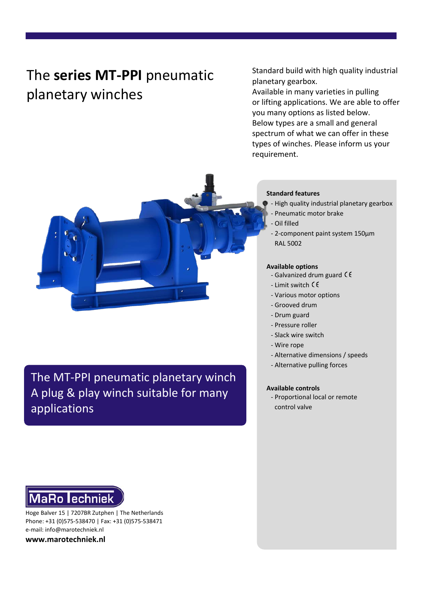# The **series MT-PPI** pneumatic planetary winches

Standard build with high quality industrial planetary gearbox.

Available in many varieties in pulling or lifting applications. We are able to offer you many options as listed below. Below types are a small and general spectrum of what we can offer in these types of winches. Please inform us your requirement.



The MT-PPI pneumatic planetary winch A plug & play winch suitable for many applications



Hoge Balver 15 | 7207BR Zutphen | The Netherlands Phone: +31 (0)575-538470 | Fax: +31 (0)575-538471 e-mail: info@marotechniek.nl

**www.marotechniek.nl**

#### **Standard features**

- High quality industrial planetary gearbox
- Pneumatic motor brake
- Oil filled
- 2-component paint system 150μm RAL 5002

### **Available options**

- Galvanized drum guard  $\zeta \xi$
- Limit switch
- Various motor options
- Grooved drum
- Drum guard
- Pressure roller
- Slack wire switch
- Wire rope
- Alternative dimensions / speeds
- Alternative pulling forces

## **Available controls**

- Proportional local or remote control valve